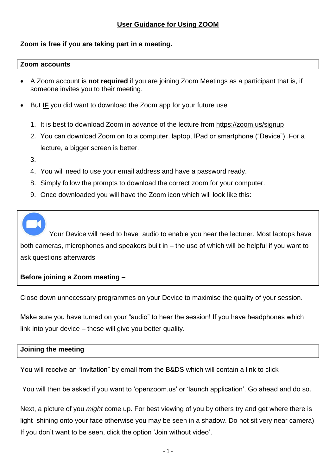## **Zoom is free if you are taking part in a meeting.**

## **Zoom accounts**

- A Zoom account is **not required** if you are joining Zoom Meetings as a participant that is, if someone invites you to their meeting.
- But **IF** you did want to download the Zoom app for your future use
	- 1. It is best to download Zoom in advance of the lecture from [https://zoom.us/signup](https://theartssocietycotswolds.us17.list-manage.com/track/click?u=06fb6e2429e7dd71531e9b48b&id=af672b1900&e=293e62fbfb)
	- 2. You can download Zoom on to a computer, laptop, IPad or smartphone ("Device") .For a lecture, a bigger screen is better.
	- 3.
	- 4. You will need to use your email address and have a password ready.
	- 8. Simply follow the prompts to download the correct zoom for your computer.
	- 9. Once downloaded you will have the Zoom icon which will look like this:

Your Device will need to have audio to enable you hear the lecturer. Most laptops have both cameras, microphones and speakers built in – the use of which will be helpful if you want to ask questions afterwards

## **Before joining a Zoom meeting –**

Close down unnecessary programmes on your Device to maximise the quality of your session.

Make sure you have turned on your "audio" to hear the session! If you have headphones which link into your device – these will give you better quality.

## **Joining the meeting**

You will receive an "invitation" by email from the B&DS which will contain a link to click

You will then be asked if you want to 'openzoom.us' or 'launch application'. Go ahead and do so.

Next, a picture of you *might* come up. For best viewing of you by others try and get where there is light shining onto your face otherwise you may be seen in a shadow. Do not sit very near camera) If you don't want to be seen, click the option 'Join without video'.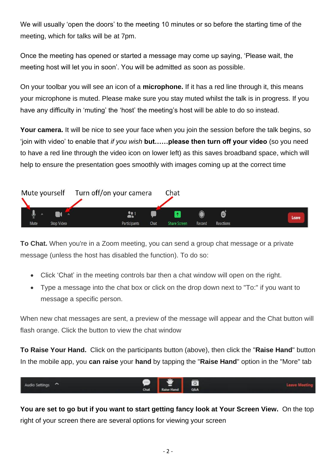We will usually 'open the doors' to the meeting 10 minutes or so before the starting time of the meeting, which for talks will be at 7pm.

Once the meeting has opened or started a message may come up saying, 'Please wait, the meeting host will let you in soon'. You will be admitted as soon as possible.

On your toolbar you will see an icon of a **microphone.** If it has a red line through it, this means your microphone is muted. Please make sure you stay muted whilst the talk is in progress. If you have any difficulty in 'muting' the 'host' the meeting's host will be able to do so instead.

**Your camera.** It will be nice to see your face when you join the session before the talk begins, so 'join with video' to enable that *if you wish* **but……please then turn off your video** (so you need to have a red line through the video icon on lower left) as this saves broadband space, which will help to ensure the presentation goes smoothly with images coming up at the correct time



**To Chat.** When you're in a Zoom meeting, you can send a group chat message or a private message (unless the host has disabled the function). To do so:

- Click 'Chat' in the meeting controls bar then a chat window will open on the right.
- Type a message into the chat box or click on the drop down next to "To:" if you want to message a specific person.

When new chat messages are sent, a preview of the message will appear and the Chat button will flash orange. Click the button to view the chat window

**To Raise Your Hand.** Click on the participants button (above), then click the "**Raise Hand**" button In the mobile app, you **can raise** your **hand** by tapping the "**Raise Hand**" option in the "More" tab



**You are set to go but if you want to start getting fancy look at Your Screen View.** On the top right of your screen there are several options for viewing your screen